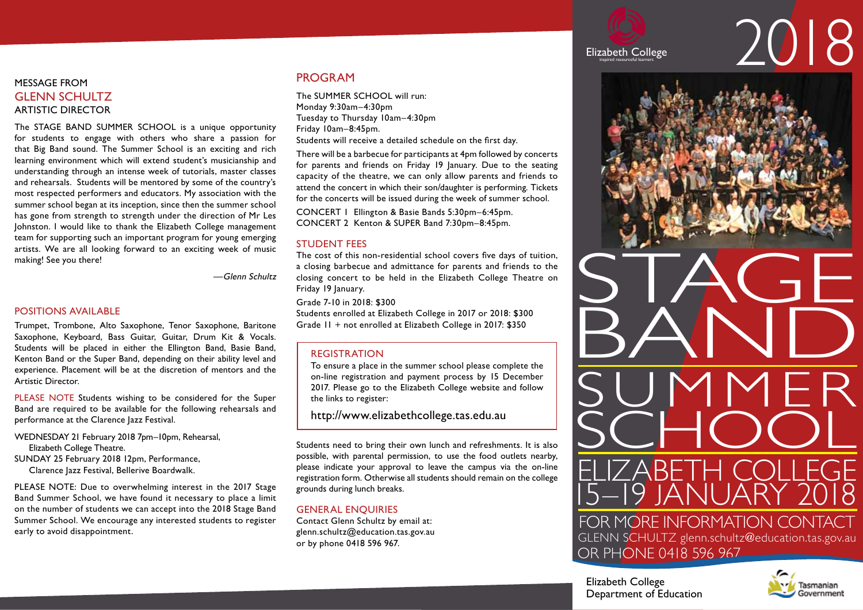# message From Glenn schultz Artistic Director

The STAGE BAND SUMMER SCHOOL is a unique opportunity for students to engage with others who share a passion for that Big Band sound. The Summer School is an exciting and rich learning environment which will extend student's musicianship and understanding through an intense week of tutorials, master classes and rehearsals. Students will be mentored by some of the country's most respected performers and educators. My association with the summer school began at its inception, since then the summer school has gone from strength to strength under the direction of Mr Les Johnston. I would like to thank the Elizabeth College management team for supporting such an important program for young emerging artists. We are all looking forward to an exciting week of music making! See you there!

—Glenn Schultz

# Positions Available

Trumpet, Trombone, Alto Saxophone, Tenor Saxophone, Baritone Saxophone, Keyboard, Bass Guitar, Guitar, Drum Kit & Vocals. Students will be placed in either the Ellington Band, Basie Band, Kenton Band or the Super Band, depending on their ability level and experience. Placement will be at the discretion of mentors and the Artistic Director.

PLEASE NOTE Students wishing to be considered for the Super Band are required to be available for the following rehearsals and performance at the Clarence Jazz Festival.

WEDNESDAY 21 February 2018 7pm-10pm, Rehearsal, Elizabeth College Theatre.

Sunday 25 February 2018 12pm, Performance,

Clarence Jazz Festival, Bellerive Boardwalk.

PLEASE NOTE: Due to overwhelming interest in the 2017 Stage Band Summer School, we have found it necessary to place a limit on the number of students we can accept into the 2018 Stage Band Summer School. We encourage any interested students to register early to avoid disappointment.

# Program

The SUMMER SCHOOL will run: Monday 9:30am–4:30pm Tuesday to Thursday 10am–4:30pm Friday 10am–8:45pm. Students will receive a detailed schedule on the first day.

There will be a barbecue for participants at 4pm followed by concerts for parents and friends on Friday 19 January. Due to the seating capacity of the theatre, we can only allow parents and friends to attend the concert in which their son/daughter is performing. Tickets for the concerts will be issued during the week of summer school.

Concert 1 Ellington & Basie Bands 5:30pm–6:45pm. Concert 2 Kenton & SUPER Band 7:30pm–8:45pm.

# Student Fees

The cost of this non-residential school covers five days of tuition, a closing barbecue and admittance for parents and friends to the closing concert to be held in the Elizabeth College Theatre on Friday 19 January.

Grade 7-10 in 2018: \$300

Students enrolled at Elizabeth College in 2017 or 2018: \$300 Grade 11 + not enrolled at Elizabeth College in 2017: \$350

# Registration

To ensure a place in the summer school please complete the on-line registration and payment process by 15 December 2017. Please go to the Elizabeth College website and follow the links to register:

http://www.elizabethcollege.tas.edu.au

Students need to bring their own lunch and refreshments. It is also possible, with parental permission, to use the food outlets nearby, please indicate your approval to leave the campus via the on-line registration form. Otherwise all students should remain on the college grounds during lunch breaks.

# general enquiries

Contact Glenn Schultz by email at: glenn.schultz@education.tas.gov.au or by phone 0418 596 967.



# Elizabeth College **inspired resource**





Elizabeth College Department of Education